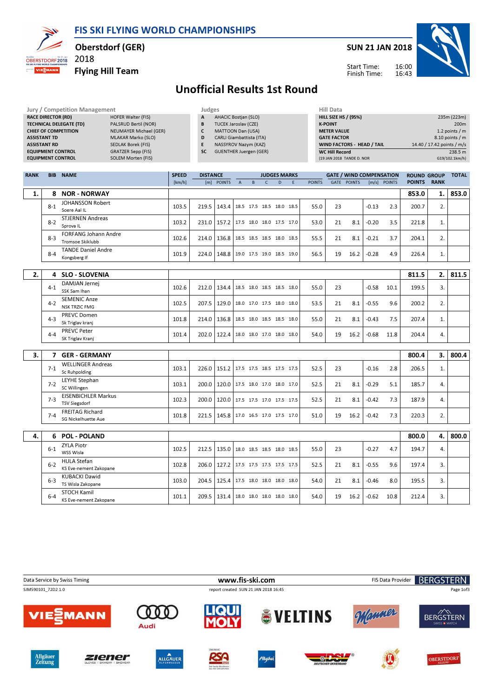FIS SKI FLYING WORLD CHAMPIONSHIPS



Oberstdorf (GER)

Flying Hill Team

2018

SUN 21 JAN 2018



Start Time: Finish Time:

## Unofficial Results 1st Round

| <b>RANK</b><br><b>NAME</b><br><b>BIB</b> |                           | <b>SPEED</b> | <b>DISTANCE</b>             | <b>JUDGES MARKS</b>           | <b>GATE / WIND COMPENSATION</b> | <b>ROUND GROUP</b>         | <b>TOTAL</b>      |
|------------------------------------------|---------------------------|--------------|-----------------------------|-------------------------------|---------------------------------|----------------------------|-------------------|
|                                          |                           |              |                             |                               |                                 |                            |                   |
| <b>EQUIPMENT CONTROL</b>                 | SOLEM Morten (FIS)        |              |                             |                               | (19 JAN 2018 TANDE D. NOR       |                            | G19/102.1km/h     |
| <b>EQUIPMENT CONTROL</b>                 | GRATZER Sepp (FIS)        | <b>SC</b>    |                             | <b>GUENTHER Juergen (GER)</b> | <b>WC Hill Record</b>           |                            | 238.5 m           |
| <b>ASSISTANT RD</b>                      | SEDLAK Borek (FIS)        |              |                             | NASSYROV Nazym (KAZ)          | WIND FACTORS - HEAD / TAIL      | 14.40 / 17.42 points / m/s |                   |
| <b>ASSISTANT TD</b>                      | MLAKAR Marko (SLO)        | D            |                             | CARLI Giambattista (ITA)      | <b>GATE FACTOR</b>              |                            | $8.10$ points / m |
| <b>CHIEF OF COMPETITION</b>              | NEUMAYER Michael (GER)    |              | MATTOON Dan (USA)           |                               | <b>METER VALUE</b>              |                            | 1.2 points $/m$   |
| <b>TECHNICAL DELEGATE (TD)</b>           | PALSRUD Bertil (NOR)      | B            | <b>TUCEK Jaroslav (CZE)</b> |                               | <b>K-POINT</b>                  |                            | 200 <sub>m</sub>  |
| <b>RACE DIRECTOR (RD)</b>                | <b>HOFER Walter (FIS)</b> | A            | <b>AHACIC Bostjan (SLO)</b> |                               | <b>HILL SIZE HS / (95%)</b>     |                            | 235m (223m)       |
| Jury / Competition Management            |                           |              | Judges                      |                               | Hill Data                       |                            |                   |
|                                          |                           |              |                             |                               |                                 |                            |                   |

| <b>KAIVA</b> | DID.    | <b>INAME</b>                                    | <b>SPEED</b> | <b>DISTANCE</b> |                                          |              |              | JUDULS MAKAS |               |      | <b>UAIL / WIND COMPENSATION</b> |         |                | RUUND GRUUP   |             | <b>IUIAL</b> |
|--------------|---------|-------------------------------------------------|--------------|-----------------|------------------------------------------|--------------|--------------|--------------|---------------|------|---------------------------------|---------|----------------|---------------|-------------|--------------|
|              |         |                                                 | [km/h]       |                 | [m] POINTS                               | $\mathsf{A}$ | <sub>B</sub> | D.           | <b>POINTS</b> | GATE | <b>POINTS</b>                   |         | $[m/s]$ POINTS | <b>POINTS</b> | <b>RANK</b> |              |
| 1.           | 8       | <b>NOR - NORWAY</b>                             |              |                 |                                          |              |              |              |               |      |                                 |         |                | 853.0         | 1.          | 853.0        |
|              | $8 - 1$ | <b>JOHANSSON Robert</b><br>Soere Aal IL         | 103.5        |                 | 219.5   143.4   18.5 17.5 18.5 18.0 18.5 |              |              |              | 55.0          | 23   |                                 | $-0.13$ | 2.3            | 200.7         | 2.          |              |
|              | $8 - 2$ | <b>STJERNEN Andreas</b><br>Sprova <sub>IL</sub> | 103.2        | 231.0           | 157.2 17.5 18.0 18.0 17.5 17.0           |              |              |              | 53.0          | 21   | 8.1                             | $-0.20$ | 3.5            | 221.8         | 1.          |              |
|              | $8-3$   | <b>FORFANG Johann Andre</b><br>Tromsoe Skiklubb | 102.6        | 214.0           | 136.8 18.5 18.5 18.5 18.0 18.5           |              |              |              | 55.5          | 21   | 8.1                             | $-0.21$ | 3.7            | 204.1         | 2.          |              |
|              | $8 - 4$ | <b>TANDE Daniel Andre</b><br>Kongsberg If       | 101.9        | 224.0           | 148.8 19.0 17.5 19.0 18.5 19.0           |              |              |              | 56.5          | 19   | 16.2                            | $-0.28$ | 4.9            | 226.4         | 1.          |              |
|              |         |                                                 |              |                 |                                          |              |              |              |               |      |                                 |         |                |               |             |              |
| 2.           | 4       | <b>SLO - SLOVENIA</b>                           |              |                 |                                          |              |              |              |               |      |                                 |         |                | 811.5         | 2.          | 811.5        |
|              |         |                                                 |              |                 |                                          |              |              |              |               |      |                                 |         |                |               |             |              |

| . . | $300 - 300$ $\mu$ $\mu$                              |       |                                          |  |  |      |      |    |      |         |      | .     |          |  |
|-----|------------------------------------------------------|-------|------------------------------------------|--|--|------|------|----|------|---------|------|-------|----------|--|
|     | DAMJAN Jernei<br>$4 - 1$<br>SSK Sam Ihan             | 102.6 | 212.0   134.4   18.5 18.0 18.5 18.5 18.0 |  |  |      | 55.0 | 23 |      | $-0.58$ | 10.1 | 199.5 | 3.       |  |
|     | <b>SEMENIC Anze</b><br>$4-2$<br><b>NSK TRZIC FMG</b> | 102.5 | 207.5   129.0   18.0 17.0 17.5 18.0      |  |  | 18.0 | 53.5 | 21 | 8.1  | $-0.55$ | 9.6  | 200.2 | 2.       |  |
|     | <b>PREVC Domen</b><br>$4 - 3$<br>Sk Triglav kranj    | 101.8 | 214.0   136.8   18.5 18.0 18.5 18.5 18.0 |  |  |      | 55.0 | 21 | 8.1  | $-0.43$ | 7.5  | 207.4 | <b>.</b> |  |
|     | <b>PREVC Peter</b><br>$4 - 4$<br>SK Triglav Kranj    | 101.4 | 202.0   122.4   18.0 18.0 17.0 18.0      |  |  | 18.0 | 54.0 | 19 | 16.2 | $-0.68$ | 11.8 | 204.4 | 4.       |  |

| 3. |         | <b>GER - GERMANY</b>                               |       |                                          |  |  |      |    |      |         |     | 800.4 | 3. I    | 800.4 |
|----|---------|----------------------------------------------------|-------|------------------------------------------|--|--|------|----|------|---------|-----|-------|---------|-------|
|    | $7 - 1$ | <b>WELLINGER Andreas</b><br>Sc Ruhpolding          | 103.1 | 226.0   151.2   17.5 17.5 18.5 17.5 17.5 |  |  | 52.5 | 23 |      | $-0.16$ | 2.8 | 206.5 | ⊥.      |       |
|    | $7-2$   | LEYHE Stephan<br>SC Willingen                      | 103.1 | 200.0   120.0   17.5 18.0 17.0 18.0 17.0 |  |  | 52.5 | 21 | 8.1  | $-0.29$ | 5.1 | 185.7 | 4.      |       |
|    | $7 - 3$ | <b>EISENBICHLER Markus</b><br><b>TSV Siegsdorf</b> | 102.3 | 200.0   120.0   17.5 17.5 17.0 17.5 17.5 |  |  | 52.5 | 21 | 8.1  | $-0.42$ | 7.3 | 187.9 | 4.      |       |
|    | $7 - 4$ | <b>FREITAG Richard</b><br>SG Nickelhuette Aue      | 101.8 | 221.5   145.8   17.0 16.5 17.0 17.5 17.0 |  |  | 51.0 | 19 | 16.2 | $-0.42$ | 7.3 | 220.3 | ∍<br>z. |       |

| 4. | 6.      | <b>POL - POLAND</b>                          |       |       |                             |      |                          |  |      |      |    |      |         |      | 800.0 | 4. I | 800.0 |
|----|---------|----------------------------------------------|-------|-------|-----------------------------|------|--------------------------|--|------|------|----|------|---------|------|-------|------|-------|
|    | $6 - 1$ | <b>ZYLA Piotr</b><br>WSS Wisla               | 102.5 | 212.5 | 135.0   18.0 18.5 18.5 18.0 |      |                          |  | 18.5 | 55.0 | 23 |      | $-0.27$ | 4.7  | 194.7 | 4.   |       |
|    | $6 - 2$ | <b>HULA Stefan</b><br>KS Eve-nement Zakopane | 102.8 | 206.0 | 127.2                       |      | 17.5 17.5 17.5 17.5 17.5 |  |      | 52.5 | 21 | 8.1  | $-0.55$ | 9.6  | 197.4 | 3.   |       |
|    | $6 - 3$ | <b>KUBACKI Dawid</b><br>TS Wisla Zakopane    | 103.0 | 204.5 | 125.4                       |      | 17.5 18.0 18.0 18.0      |  | 18.0 | 54.0 | 21 | 8.1  | $-0.46$ | 8.0  | 195.5 | 3.   |       |
|    | $6 - 4$ | <b>STOCH Kamil</b><br>KS Eve-nement Zakopane | 101.1 | 209.5 | 131.4                       | 18.0 | 18.0 18.0 18.0           |  | 18.0 | 54.0 | 19 | 16.2 | $-0.62$ | 10.8 | 212.4 | 3.   |       |

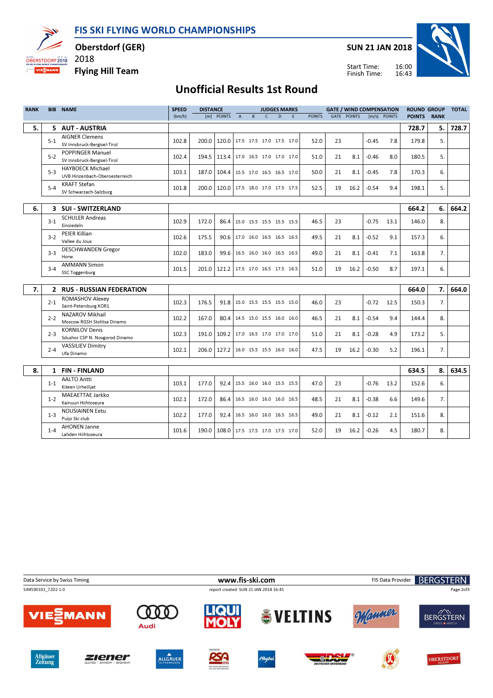FIS SKI FLYING WORLD CHAMPIONSHIPS



Oberstdorf (GER)

2018

Flying Hill Team



Start Time: Finish Time:

## 16:43



## Unofficial Results 1st Round

| <b>RANK</b> |              | <b>BIB NAME</b>                                           | <b>SPEED</b> | <b>DISTANCE</b> |                                |                |                          |              | <b>JUDGES MARKS</b> |   |               |    | <b>GATE / WIND COMPENSATION</b> |         |              | <b>ROUND GROUP</b> |             | <b>TOTAL</b> |
|-------------|--------------|-----------------------------------------------------------|--------------|-----------------|--------------------------------|----------------|--------------------------|--------------|---------------------|---|---------------|----|---------------------------------|---------|--------------|--------------------|-------------|--------------|
|             |              |                                                           | [km/h]       |                 | [m] POINTS                     | $\overline{A}$ | B                        | $\mathsf{C}$ | D                   | F | <b>POINTS</b> |    | <b>GATE POINTS</b>              |         | [m/s] POINTS | <b>POINTS</b>      | <b>RANK</b> |              |
| 5.          |              | 5 AUT - AUSTRIA                                           |              |                 |                                |                |                          |              |                     |   |               |    |                                 |         |              | 728.7              | 5.          | 728.7        |
|             | $5 - 1$      | <b>AIGNER Clemens</b><br>SV Innsbruck-Bergisel-Tirol      | 102.8        | 200.0           | 120.0                          |                | 17.5 17.5 17.0 17.5 17.0 |              |                     |   | 52.0          | 23 |                                 | $-0.45$ | 7.8          | 179.8              | 5.          |              |
|             | $5 - 2$      | <b>POPPINGER Manuel</b><br>SV Innsbruck-Bergisel-Tirol    | 102.4        | 194.5           | 113.4 17.0 16.5 17.0 17.0 17.0 |                |                          |              |                     |   | 51.0          | 21 | 8.1                             | $-0.46$ | 8.0          | 180.5              | 5.          |              |
|             | $5 - 3$      | <b>HAYBOECK Michael</b><br>UVB Hinzenbach-Oberoesterreich | 103.1        | 187.0           | 104.4 15.5 17.0 16.5 16.5 17.0 |                |                          |              |                     |   | 50.0          | 21 | 8.1                             | $-0.45$ | 7.8          | 170.3              | 6.          |              |
|             | $5 - 4$      | <b>KRAFT Stefan</b><br>SV Schwarzach-Salzburg             | 101.8        | 200.0           | 120.0                          |                | 17.5 18.0 17.0 17.5 17.5 |              |                     |   | 52.5          | 19 | 16.2                            | $-0.54$ | 9.4          | 198.1              | 5.          |              |
|             |              |                                                           |              |                 |                                |                |                          |              |                     |   |               |    |                                 |         |              |                    | 6.          |              |
| 6.          |              | 3 SUI - SWITZERLAND                                       |              |                 |                                |                |                          |              |                     |   |               |    |                                 |         |              | 664.2              |             | 664.2        |
|             | $3-1$        | <b>SCHULER Andreas</b><br>Einsiedeln                      | 102.9        | 172.0           | 86.4                           |                | 15.0 15.5 15.5 15.5 15.5 |              |                     |   | 46.5          | 23 |                                 | $-0.75$ | 13.1         | 146.0              | 8.          |              |
|             | $3-2$        | <b>PEIER Killian</b><br>Vallee du Joux                    | 102.6        | 175.5           | 90.6                           |                | 17.0 16.0 16.5 16.5 16.5 |              |                     |   | 49.5          | 21 | 8.1                             | $-0.52$ | 9.1          | 157.3              | 6.          |              |
|             | $3 - 3$      | <b>DESCHWANDEN Gregor</b><br>Horw                         | 102.0        | 183.0           | 99.6                           |                | 16.5 16.0 16.0 16.5 16.5 |              |                     |   | 49.0          | 21 | 8.1                             | $-0.41$ | 7.1          | 163.8              | 7.          |              |
|             | $3 - 4$      | <b>AMMANN Simon</b><br><b>SSC Toggenburg</b>              | 101.5        | 201.0           | 121.2                          |                | 17.5 17.0 16.5 17.5 16.5 |              |                     |   | 51.0          | 19 | 16.2                            | $-0.50$ | 8.7          | 197.1              | 6.          |              |
|             |              |                                                           |              |                 |                                |                |                          |              |                     |   |               |    |                                 |         |              |                    |             |              |
| 7.          | $\mathbf{2}$ | <b>RUS - RUSSIAN FEDERATION</b>                           |              |                 |                                |                |                          |              |                     |   |               |    |                                 |         |              | 664.0              | 7.          | 664.0        |
|             | $2 - 1$      | <b>ROMASHOV Alexey</b><br>Saint-Petersburg KOR1           | 102.3        | 176.5           | 91.8                           |                | 15.0 15.5 15.5 15.5 15.0 |              |                     |   | 46.0          | 23 |                                 | $-0.72$ | 12.5         | 150.3              | 7.          |              |
|             | $2 - 2$      | <b>NAZAROV Mikhail</b><br>Moscow RGSH Stolitsa Dinamo     | 102.2        | 167.0           | 80.4                           |                | 14.5 15.0 15.5 16.0 16.0 |              |                     |   | 46.5          | 21 | 8.1                             | $-0.54$ | 9.4          | 144.4              | 8.          |              |
|             | $2 - 3$      | <b>KORNILOV Denis</b><br>Sdushor CSP N. Novgorod Dinamo   | 102.3        | 191.0           | 109.2                          |                | 17.0 16.5 17.0 17.0 17.0 |              |                     |   | 51.0          | 21 | 8.1                             | $-0.28$ | 4.9          | 173.2              | 5.          |              |
|             | $2 - 4$      | <b>VASSILIEV Dimitry</b><br>Ufa Dinamo                    | 102.1        | 206.0           | 127.2                          |                | 16.0 15.5 15.5 16.0 16.0 |              |                     |   | 47.5          | 19 | 16.2                            | $-0.30$ | 5.2          | 196.1              | 7.          |              |
|             |              |                                                           |              |                 |                                |                |                          |              |                     |   |               |    |                                 |         |              |                    |             |              |
| 8.          | $\mathbf{1}$ | <b>FIN-FINLAND</b>                                        |              |                 |                                |                |                          |              |                     |   |               |    |                                 |         |              | 634.5              | 8.          | 634.5        |
|             | $1 - 1$      | <b>AALTO Antti</b><br>Kiteen Urheilijat                   | 103.1        | 177.0           | 92.4                           |                | 15.5 16.0 16.0 15.5 15.5 |              |                     |   | 47.0          | 23 |                                 | $-0.76$ | 13.2         | 152.6              | 6.          |              |
|             | $1 - 2$      | <b>MAEAETTAE Jarkko</b><br>Kainuun Hiihtoseura            | 102.1        | 172.0           | 86.4                           |                | 16.5 16.0 16.0 16.0 16.5 |              |                     |   | 48.5          | 21 | 8.1                             | $-0.38$ | 6.6          | 149.6              | 7.          |              |
|             | $1 - 3$      | <b>NOUSIAINEN Eetu</b><br>Puijo Ski club                  | 102.2        | 177.0           | 92.4                           |                | 16.5 16.0 16.0 16.5 16.5 |              |                     |   | 49.0          | 21 | 8.1                             | $-0.12$ | 2.1          | 151.6              | 8.          |              |
|             | $1 - 4$      | <b>AHONEN Janne</b><br>Lahden Hiihtoseura                 | 101.6        | 190.0           | 108.0 17.5 17.5 17.0 17.5 17.0 |                |                          |              |                     |   | 52.0          | 19 | 16.2                            | $-0.26$ | 4.5          | 180.7              | 8.          |              |